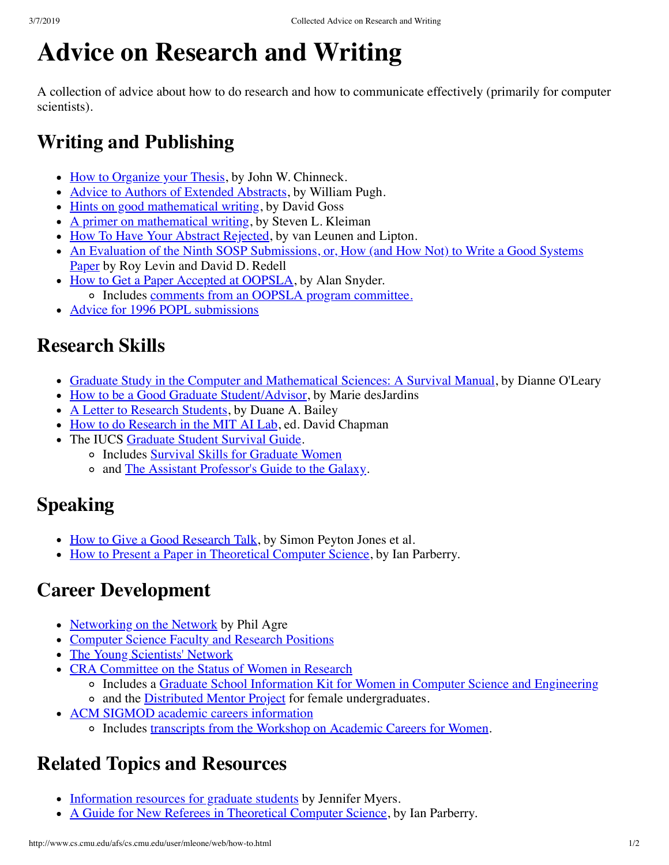# **Advice on Research and Writing**

A collection of advice about how to do research and how to communicate effectively (primarily for computer scientists).

### **Writing and Publishing**

- [How to Organize your Thesis,](http://www.sce.carleton.ca/faculty/chinneck/thesis.html) by John W. Chinneck.
- [Advice to Authors of Extended Abstracts](ftp://parcftp.xerox.com/pub/popl96/pugh/advice.ps.Z), by William Pugh.
- [Hints on good mathematical writing](ftp://ftp.math.ohio-state.edu/pub/math.style/hint.ps), by David Goss
- $\bullet$  [A primer on mathematical writing](ftp://ftp.math.ohio-state.edu/pub/math.style/mit.ps), by Steven L. Kleiman
- [How To Have Your Abstract Rejected](ftp://parcftp.xerox.com/pub/popl96/vanLeunenLipton), by van Leunen and Lipton.
- [An Evaluation of the Ninth SOSP Submissions, or, How \(and How Not\) to Write a Good Systems](ftp://fast.cs.utah.edu/pub/writing-papers.ps) Paper by Roy Levin and David D. Redell
- [How to Get a Paper Accepted at OOPSLA](http://ursamajor.uvic.ca/how.to.publish.html), by Alan Snyder.
	- o Includes [comments from an OOPSLA program committee.](http://ursamajor.uvic.ca/how.to.panel.html)
- [Advice for 1996 POPL submissions](ftp://parcftp.xerox.com/pub/popl96/suggestions)

### **Research Skills**

- [Graduate Study in the Computer and Mathematical Sciences: A Survival Manual,](http://www.cs.umd.edu/~oleary/gradstudy/gradstudy.html) by Dianne O'Leary
- [How to be a Good Graduate Student/Advisor,](http://www.cs.indiana.edu/how.2b/how.2b.html) by Marie desJardins
- [A Letter to Research Students](ftp://cs.williams.edu/pub/bailey/research.ps), by Duane A. Bailey
- [How to do Research in the MIT AI Lab](http://www.cs.indiana.edu/mit.research.how.to.html), ed. David Chapman
- The IUCS [Graduate Student Survival Guide.](http://www.cs.indiana.edu/docproject/handbook/part1.9.html)
	- o Includes [Survival Skills for Graduate Women](http://www.cs.indiana.edu/docproject/handbook/section1.9.0.3.html)
	- <sup>o</sup> and [The Assistant Professor's Guide to the Galaxy](http://www.cs.indiana.edu/docproject/handbook/section1.9.0.6.html).

## **Speaking**

- [How to Give a Good Research Talk](ftp://ftp.dcs.glasgow.ac.uk/pub/glasgow-fp/papers/giving-a-talk.ps.Z), by Simon Peyton Jones et al.
- [How to Present a Paper in Theoretical Computer Science](ftp://ftp.unt.edu/ian/guides/speaker/speaker.ps), by Ian Parberry.

#### **Career Development**

- [Networking on the Network](http://communication.ucsd.edu/pagre/network.html) by Phil Agre
- [Computer Science Faculty and Research Positions](http://www-ccsl.cs.umass.edu/~kaplan/jobs/)
- [The Young Scientists' Network](http://snorri.chem.washington.edu/ysnarchive/)
- [CRA Committee on the Status of Women in Research](http://cra.org/womencom.html)
	- o Includes a [Graduate School Information Kit for Women in Computer Science and Engineering](http://cra.org/craw-docs/gradinfokit.html)
	- o and the [Distributed Mentor Project](http://cra.org/mentor.html) for female undergraduates.
- [ACM SIGMOD academic careers information](http://bunny.cs.uiuc.edu/funding/academicCareers.html)
	- Includes [transcripts from the Workshop on Academic Careers for Women.](ftp://ics.uci.edu/pub/mentoring-workshop)

#### **Related Topics and Resources**

- [Information resources for graduate students](http://www.eecs.nwu.edu:8001/jmyers/gradstudent.html) by Jennifer Myers.
- [A Guide for New Referees in Theoretical Computer Science,](ftp://ftp.unt.edu/ian/guides/referee/manuscript.ps) by Ian Parberry.